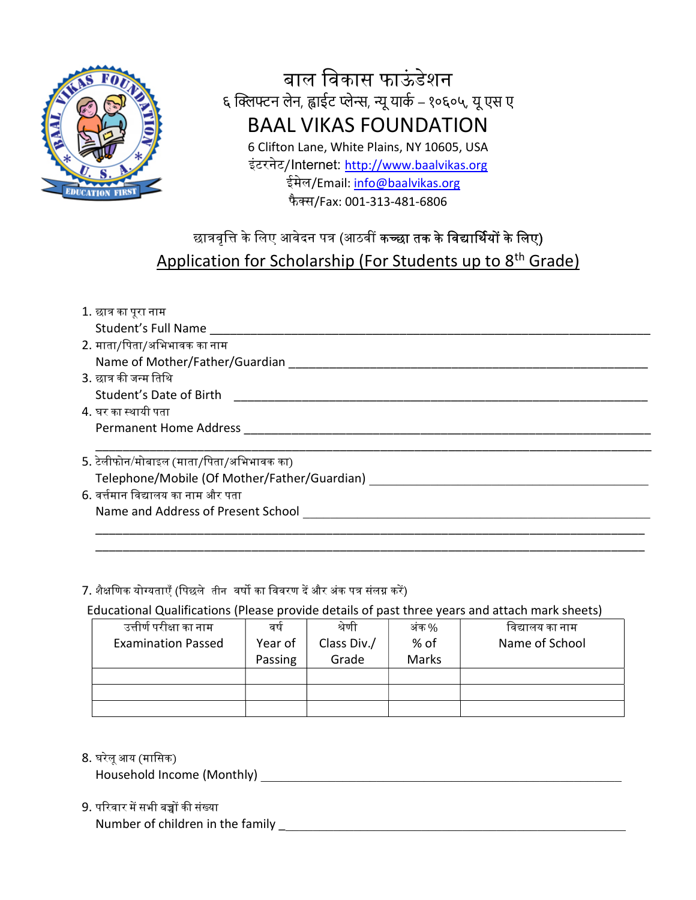

## बाल विकास फाऊंडेशन ६ क्लिफ्टन लेन, ह्वाईट प्लेन्स, न्यू यार्क – १०६०५, यू एस ए BAAL VIKAS FOUNDATION 6 Clifton Lane, White Plains, NY 10605, USA इंटरनेट/Internet: http://www.baalvikas.org ईमेल/Email: info@baalvikas.org फैस/Fax: 001-313-481-6806

## छात्रवृत्ति के लिए आवेदन पत्र (आठवीं **कच्छा तक के विद्यार्थियों के लिए)** Application for Scholarship (For Students up to 8th Grade)

| 1. छात्र का पूरा नाम                         |
|----------------------------------------------|
| Student's Full Name                          |
| 2. माता/पिता/अभिभावक का नाम                  |
| Name of Mother/Father/Guardian               |
| 3. छात्र की जन्म तिथि                        |
| Student's Date of Birth                      |
| 4. घर का स्थायी पता                          |
| Permanent Home Address                       |
| 5. टेलीफोन/मोबाइल (माता/पिता/अभिभावक का)     |
| Telephone/Mobile (Of Mother/Father/Guardian) |
| 6. वर्त्तमान विद्यालय का नाम और पता          |
| Name and Address of Present School           |
|                                              |

\_\_\_\_\_\_\_\_\_\_\_\_\_\_\_\_\_\_\_\_\_\_\_\_\_\_\_\_\_\_\_\_\_\_\_\_\_\_\_\_\_\_\_\_\_\_\_\_\_\_\_\_\_\_\_\_\_\_\_\_\_\_\_\_\_\_\_\_\_\_\_\_\_\_\_\_\_\_\_\_\_

#### 7. शैक्षणिक योग्यताएँ (पिछले तीन वर्षो का विवरण दें और अंक पत्र संलग्न करें)

Educational Qualifications (Please provide details of past three years and attach mark sheets)

| उत्तीर्ण परीक्षा का नाम   | वर्ष    | श्रेणी      | अंक %        | विद्यालय का नाम |
|---------------------------|---------|-------------|--------------|-----------------|
| <b>Examination Passed</b> | Year of | Class Div./ | % of         | Name of School  |
|                           | Passing | Grade       | <b>Marks</b> |                 |
|                           |         |             |              |                 |
|                           |         |             |              |                 |
|                           |         |             |              |                 |

8. घरेलूआय (मािसक)

Household Income (Monthly) **Example 20** 

- 9. परिवार में सभी बच्चों की संख्या
	- Number of children in the family Letter and the state of children in the family Letter and the state of  $\sim$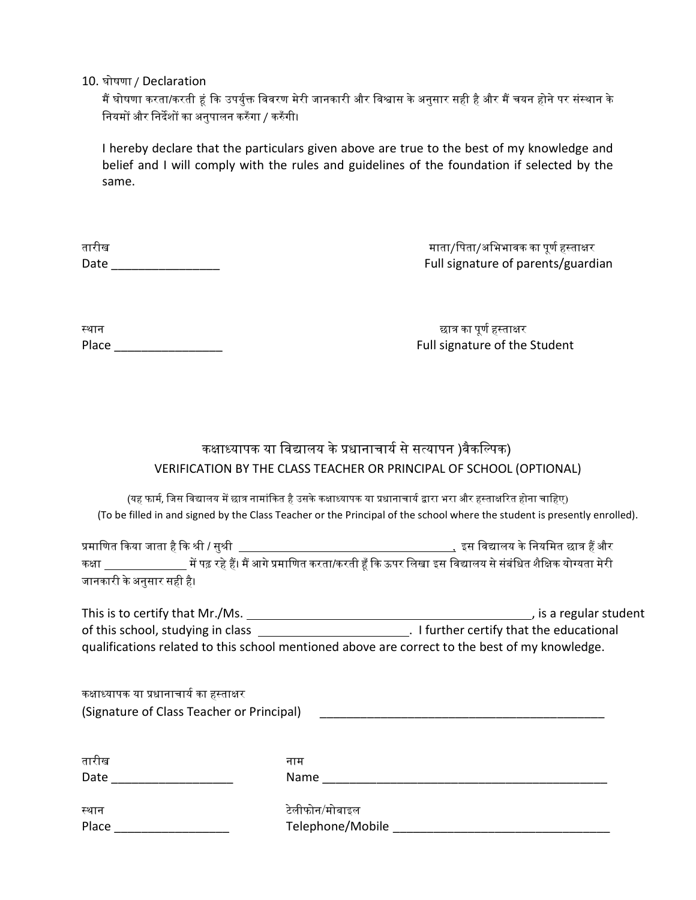10. घोषणा / Declaration

.<br>मैं घोषणा करता/करती हूं कि उपर्युक्त विवरण मेरी जानकारी और विश्वास के अनुसार सही है और मैं चयन होने पर संस्थान के नियमों और निर्देशों का अनुपालन करुँगा / करुँगी।

I hereby declare that the particulars given above are true to the best of my knowledge and belief and I will comply with the rules and guidelines of the foundation if selected by the same.

| तारीख |  |  |  |
|-------|--|--|--|
| Date  |  |  |  |

माता/पिता/अभिभावक का पूर्ण हस्ताक्षर Full signature of parents/guardian

| स्थान |  |  |  |
|-------|--|--|--|
| Place |  |  |  |

छात्र का पूर्ण हस्ताक्षर Full signature of the Student

### कक्षाध्यापक या विद्यालय के प्रधानाचार्य से सत्यापन )वैकल्पिक) VERIFICATION BY THE CLASS TEACHER OR PRINCIPAL OF SCHOOL (OPTIONAL)

(यह फार्म, जिस विद्यालय में छात्र नामांकित है उसके कक्षाध्यापक या प्रधानाचार्य द्वारा भरा और हस्ताक्षरित होना चाहिए) (To be filled in and signed by the Class Teacher or the Principal of the school where the student is presently enrolled).

ᮧमािणत ᳰकया जाता हैᳰक ᮰ी / सु᮰ी , इस िव᳒ालय केिनयिमत छाᮢ हᱹऔर कक्षा स्पाद में पढ़ रहे हैं। मैं आगे प्रमाणित करता/करती हँ कि ऊपर लिखा इस विद्यालय से संबंधित शैक्षिक योग्यता मेरी के जानकारी केअनुसार सही है।

| This is to certify that Mr./Ms.                                                                | , is a regular student                   |
|------------------------------------------------------------------------------------------------|------------------------------------------|
| of this school, studying in class                                                              | . I further certify that the educational |
| qualifications related to this school mentioned above are correct to the best of my knowledge. |                                          |

कक्षाध्यापक या प्रधानाचार्य का हस्ताक्षर (Signature of Class Teacher or Principal)

| तारीख | नाम              |
|-------|------------------|
| Date  | Name             |
| स्थान | टेलीफोन/मोबाइल   |
| Place | Telephone/Mobile |